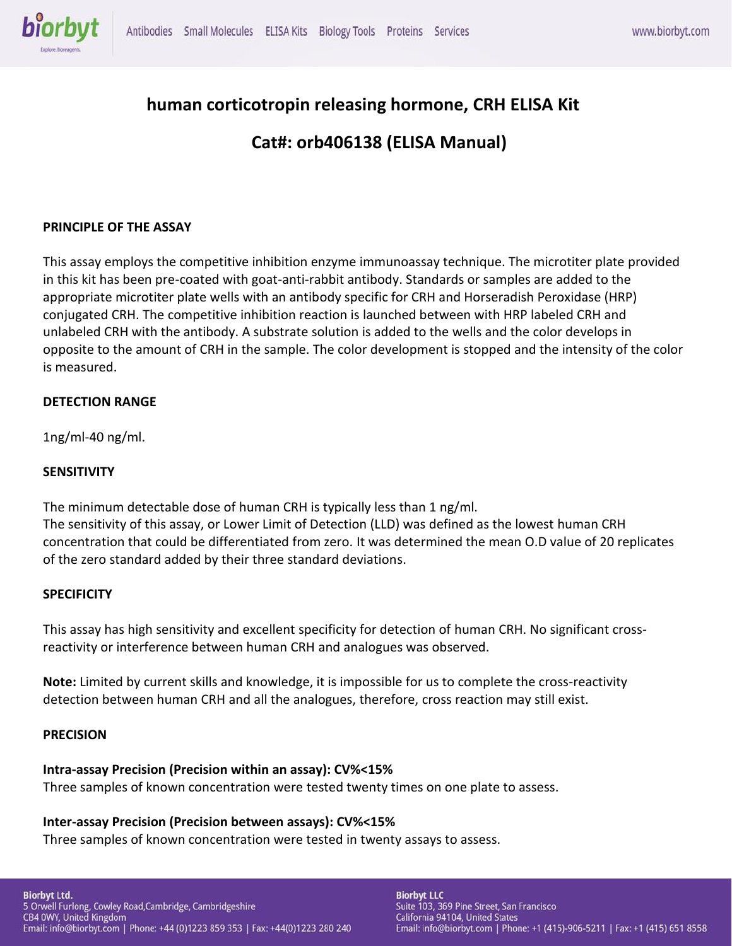

# **human corticotropin releasing hormone, CRH ELISA Kit**

# **Cat#: orb406138 (ELISA Manual)**

# **PRINCIPLE OF THE ASSAY**

This assay employs the competitive inhibition enzyme immunoassay technique. The microtiter plate provided in this kit has been pre-coated with goat-anti-rabbit antibody. Standards or samples are added to the appropriate microtiter plate wells with an antibody specific for CRH and Horseradish Peroxidase (HRP) conjugated CRH. The competitive inhibition reaction is launched between with HRP labeled CRH and unlabeled CRH with the antibody. A substrate solution is added to the wells and the color develops in opposite to the amount of CRH in the sample. The color development is stopped and the intensity of the color is measured.

#### **DETECTION RANGE**

1ng/ml-40 ng/ml.

#### **SENSITIVITY**

The minimum detectable dose of human CRH is typically less than 1 ng/ml. The sensitivity of this assay, or Lower Limit of Detection (LLD) was defined as the lowest human CRH concentration that could be differentiated from zero. It was determined the mean O.D value of 20 replicates of the zero standard added by their three standard deviations.

#### **SPECIFICITY**

This assay has high sensitivity and excellent specificity for detection of human CRH. No significant crossreactivity or interference between human CRH and analogues was observed.

**Note:** Limited by current skills and knowledge, it is impossible for us to complete the cross-reactivity detection between human CRH and all the analogues, therefore, cross reaction may still exist.

#### **PRECISION**

#### **Intra-assay Precision (Precision within an assay): CV%<15%**

Three samples of known concentration were tested twenty times on one plate to assess.

#### **Inter-assay Precision (Precision between assays): CV%<15%**

Three samples of known concentration were tested in twenty assays to assess.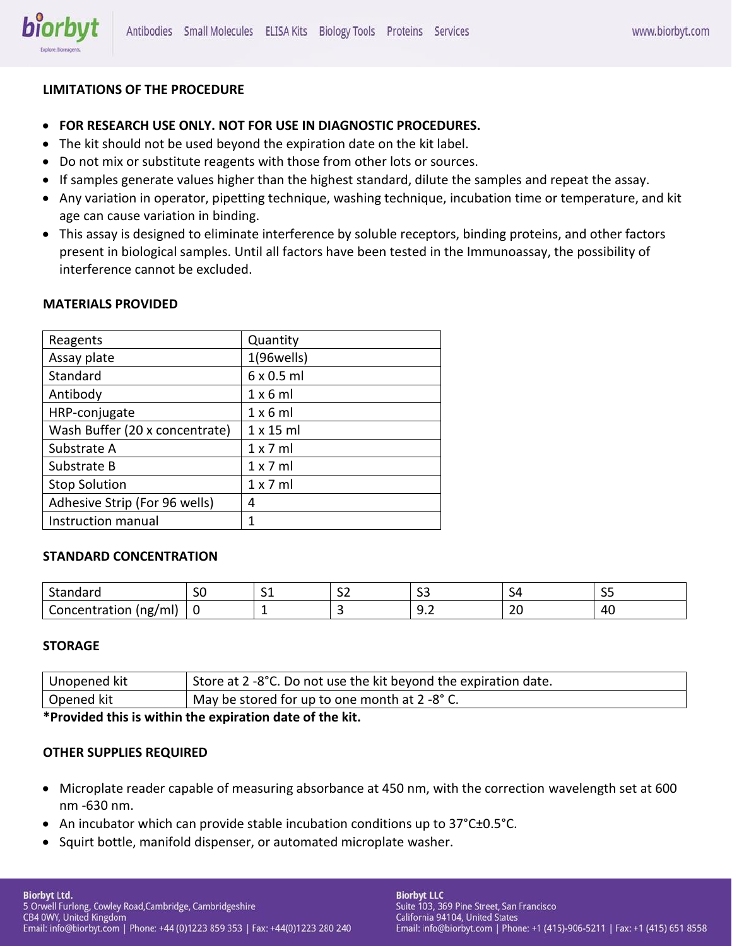

# **LIMITATIONS OF THE PROCEDURE**

- **FOR RESEARCH USE ONLY. NOT FOR USE IN DIAGNOSTIC PROCEDURES.**
- The kit should not be used beyond the expiration date on the kit label.
- Do not mix or substitute reagents with those from other lots or sources.
- If samples generate values higher than the highest standard, dilute the samples and repeat the assay.
- Any variation in operator, pipetting technique, washing technique, incubation time or temperature, and kit age can cause variation in binding.
- This assay is designed to eliminate interference by soluble receptors, binding proteins, and other factors present in biological samples. Until all factors have been tested in the Immunoassay, the possibility of interference cannot be excluded.

# **MATERIALS PROVIDED**

| Reagents                       | Quantity          |
|--------------------------------|-------------------|
| Assay plate                    | $1(96$ wells)     |
| Standard                       | $6 \times 0.5$ ml |
| Antibody                       | $1 \times 6$ ml   |
| HRP-conjugate                  | $1 \times 6$ ml   |
| Wash Buffer (20 x concentrate) | $1 \times 15$ ml  |
| Substrate A                    | $1 \times 7$ ml   |
| Substrate B                    | $1 \times 7$ ml   |
| <b>Stop Solution</b>           | $1 \times 7$ ml   |
| Adhesive Strip (For 96 wells)  | 4                 |
| Instruction manual             | 1                 |

#### **STANDARD CONCENTRATION**

| -<br>- - -<br>uudi u<br>o tar                   | --<br>JU | . . | $\sim$<br>- - | $\sim$<br>ັ               |                   | $\sim$ $\sim$<br>--         |
|-------------------------------------------------|----------|-----|---------------|---------------------------|-------------------|-----------------------------|
| $\cdot$<br>----<br><br>'ml<br>tior<br>(ng,<br>m | -C       |     |               | -<br>---<br>$\sim$ $\sim$ | $\sim$<br>້<br>__ | $\mathbf{r}$<br>ᅮ<br>$\sim$ |

#### **STORAGE**

| Unopened kit                                                                                                                                                                                                                       | <sup>1</sup> Store at 2 -8°C. Do not use the kit beyond the expiration date. |  |
|------------------------------------------------------------------------------------------------------------------------------------------------------------------------------------------------------------------------------------|------------------------------------------------------------------------------|--|
| Opened kit                                                                                                                                                                                                                         | May be stored for up to one month at 2 -8° C.                                |  |
| $\mathcal{L}$ and the set of the set of the set of the set of the set of the set of the set of the set of the set of the set of the set of the set of the set of the set of the set of the set of the set of the set of the set of |                                                                              |  |

**\*Provided this is within the expiration date of the kit.**

#### **OTHER SUPPLIES REQUIRED**

- Microplate reader capable of measuring absorbance at 450 nm, with the correction wavelength set at 600 nm -630 nm.
- An incubator which can provide stable incubation conditions up to 37°C±0.5°C.
- Squirt bottle, manifold dispenser, or automated microplate washer.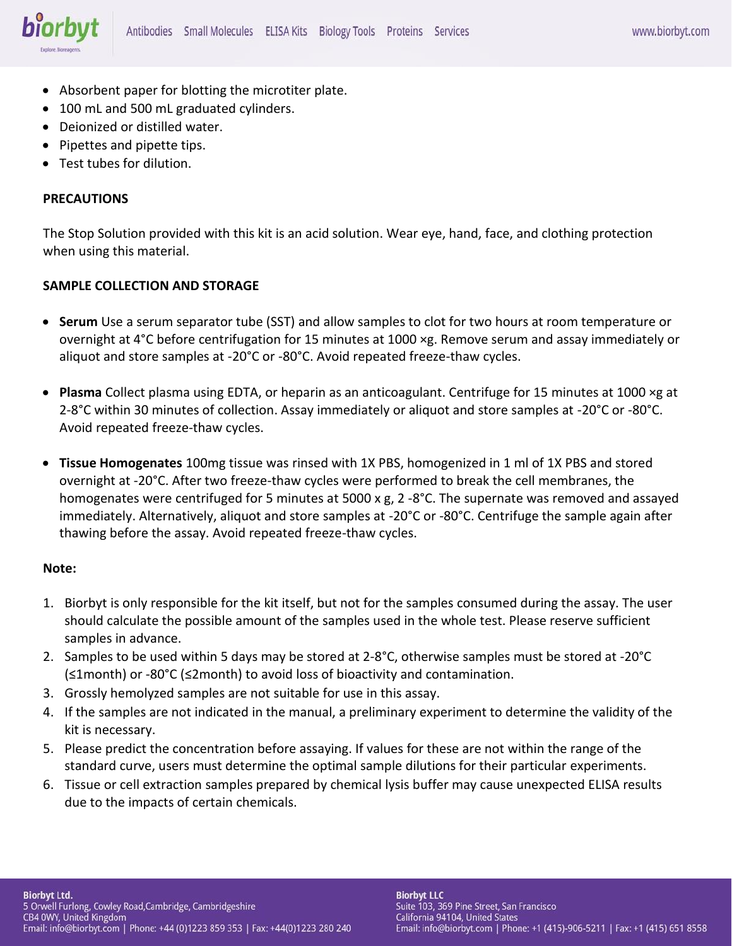

- Absorbent paper for blotting the microtiter plate.
- 100 mL and 500 mL graduated cylinders.
- Deionized or distilled water.
- Pipettes and pipette tips.
- Test tubes for dilution.

# **PRECAUTIONS**

The Stop Solution provided with this kit is an acid solution. Wear eye, hand, face, and clothing protection when using this material.

# **SAMPLE COLLECTION AND STORAGE**

- **Serum** Use a serum separator tube (SST) and allow samples to clot for two hours at room temperature or overnight at 4°C before centrifugation for 15 minutes at 1000 ×g. Remove serum and assay immediately or aliquot and store samples at -20°C or -80°C. Avoid repeated freeze-thaw cycles.
- **Plasma** Collect plasma using EDTA, or heparin as an anticoagulant. Centrifuge for 15 minutes at 1000 ×g at 2-8°C within 30 minutes of collection. Assay immediately or aliquot and store samples at -20°C or -80°C. Avoid repeated freeze-thaw cycles.
- **Tissue Homogenates** 100mg tissue was rinsed with 1X PBS, homogenized in 1 ml of 1X PBS and stored overnight at -20°C. After two freeze-thaw cycles were performed to break the cell membranes, the homogenates were centrifuged for 5 minutes at 5000 x g, 2 -8°C. The supernate was removed and assayed immediately. Alternatively, aliquot and store samples at -20°C or -80°C. Centrifuge the sample again after thawing before the assay. Avoid repeated freeze-thaw cycles.

#### **Note:**

- 1. Biorbyt is only responsible for the kit itself, but not for the samples consumed during the assay. The user should calculate the possible amount of the samples used in the whole test. Please reserve sufficient samples in advance.
- 2. Samples to be used within 5 days may be stored at 2-8°C, otherwise samples must be stored at -20°C (≤1month) or -80°C (≤2month) to avoid loss of bioactivity and contamination.
- 3. Grossly hemolyzed samples are not suitable for use in this assay.
- 4. If the samples are not indicated in the manual, a preliminary experiment to determine the validity of the kit is necessary.
- 5. Please predict the concentration before assaying. If values for these are not within the range of the standard curve, users must determine the optimal sample dilutions for their particular experiments.
- 6. Tissue or cell extraction samples prepared by chemical lysis buffer may cause unexpected ELISA results due to the impacts of certain chemicals.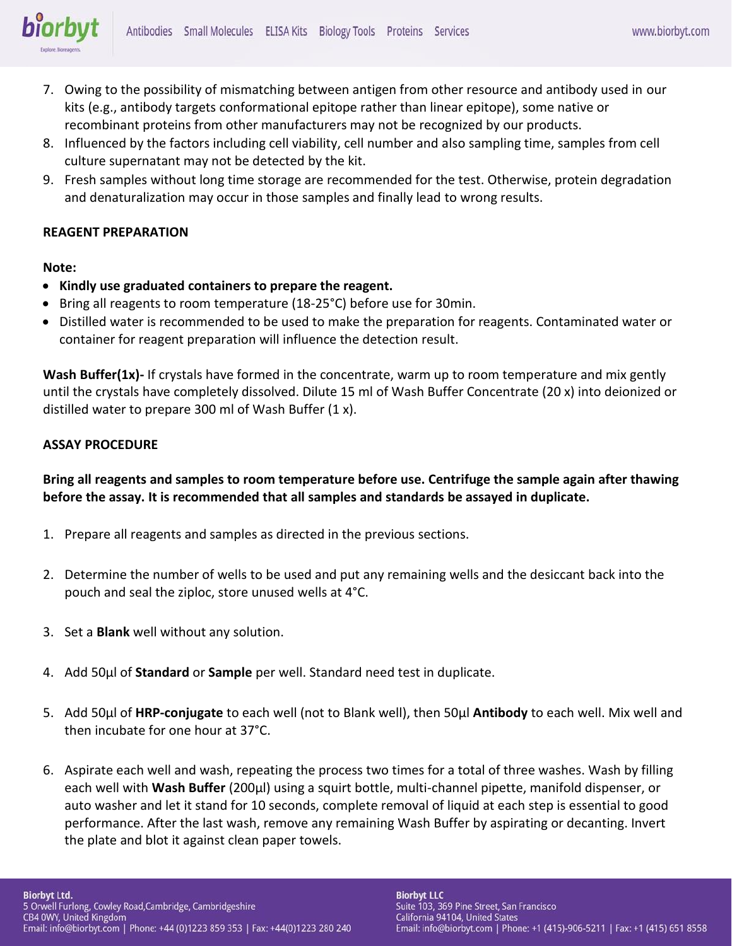

- 7. Owing to the possibility of mismatching between antigen from other resource and antibody used in our kits (e.g., antibody targets conformational epitope rather than linear epitope), some native or recombinant proteins from other manufacturers may not be recognized by our products.
- 8. Influenced by the factors including cell viability, cell number and also sampling time, samples from cell culture supernatant may not be detected by the kit.
- 9. Fresh samples without long time storage are recommended for the test. Otherwise, protein degradation and denaturalization may occur in those samples and finally lead to wrong results.

# **REAGENT PREPARATION**

# **Note:**

- **Kindly use graduated containers to prepare the reagent.**
- Bring all reagents to room temperature (18-25°C) before use for 30min.
- Distilled water is recommended to be used to make the preparation for reagents. Contaminated water or container for reagent preparation will influence the detection result.

**Wash Buffer(1x)-** If crystals have formed in the concentrate, warm up to room temperature and mix gently until the crystals have completely dissolved. Dilute 15 ml of Wash Buffer Concentrate (20 x) into deionized or distilled water to prepare 300 ml of Wash Buffer (1 x).

# **ASSAY PROCEDURE**

**Bring all reagents and samples to room temperature before use. Centrifuge the sample again after thawing before the assay. It is recommended that all samples and standards be assayed in duplicate.** 

- 1. Prepare all reagents and samples as directed in the previous sections.
- 2. Determine the number of wells to be used and put any remaining wells and the desiccant back into the pouch and seal the ziploc, store unused wells at 4°C.
- 3. Set a **Blank** well without any solution.
- 4. Add 50μl of **Standard** or **Sample** per well. Standard need test in duplicate.
- 5. Add 50μl of **HRP-conjugate** to each well (not to Blank well), then 50μl **Antibody** to each well. Mix well and then incubate for one hour at 37°C.
- 6. Aspirate each well and wash, repeating the process two times for a total of three washes. Wash by filling each well with **Wash Buffer** (200μl) using a squirt bottle, multi-channel pipette, manifold dispenser, or auto washer and let it stand for 10 seconds, complete removal of liquid at each step is essential to good performance. After the last wash, remove any remaining Wash Buffer by aspirating or decanting. Invert the plate and blot it against clean paper towels.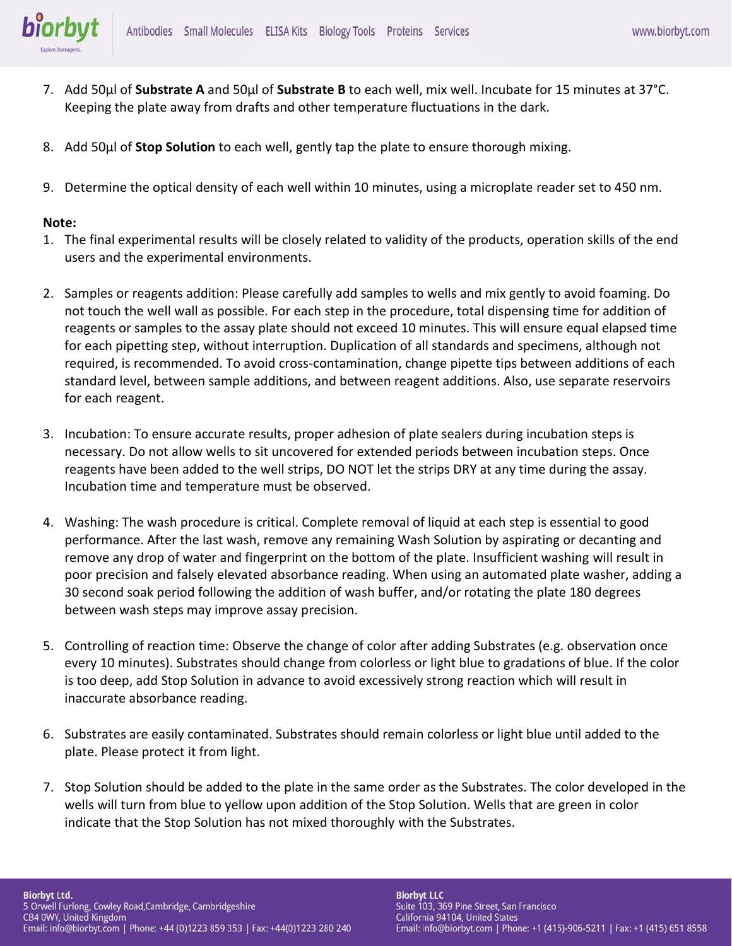

- 7. Add 50μl of **Substrate A** and 50μl of **Substrate B** to each well, mix well. Incubate for 15 minutes at 37°C. Keeping the plate away from drafts and other temperature fluctuations in the dark.
- 8. Add 50μl of **Stop Solution** to each well, gently tap the plate to ensure thorough mixing.
- 9. Determine the optical density of each well within 10 minutes, using a microplate reader set to 450 nm.

#### **Note:**

- 1. The final experimental results will be closely related to validity of the products, operation skills of the end users and the experimental environments.
- 2. Samples or reagents addition: Please carefully add samples to wells and mix gently to avoid foaming. Do not touch the well wall as possible. For each step in the procedure, total dispensing time for addition of reagents or samples to the assay plate should not exceed 10 minutes. This will ensure equal elapsed time for each pipetting step, without interruption. Duplication of all standards and specimens, although not required, is recommended. To avoid cross-contamination, change pipette tips between additions of each standard level, between sample additions, and between reagent additions. Also, use separate reservoirs for each reagent.
- 3. Incubation: To ensure accurate results, proper adhesion of plate sealers during incubation steps is necessary. Do not allow wells to sit uncovered for extended periods between incubation steps. Once reagents have been added to the well strips, DO NOT let the strips DRY at any time during the assay. Incubation time and temperature must be observed.
- 4. Washing: The wash procedure is critical. Complete removal of liquid at each step is essential to good performance. After the last wash, remove any remaining Wash Solution by aspirating or decanting and remove any drop of water and fingerprint on the bottom of the plate. Insufficient washing will result in poor precision and falsely elevated absorbance reading. When using an automated plate washer, adding a 30 second soak period following the addition of wash buffer, and/or rotating the plate 180 degrees between wash steps may improve assay precision.
- 5. Controlling of reaction time: Observe the change of color after adding Substrates (e.g. observation once every 10 minutes). Substrates should change from colorless or light blue to gradations of blue. If the color is too deep, add Stop Solution in advance to avoid excessively strong reaction which will result in inaccurate absorbance reading.
- 6. Substrates are easily contaminated. Substrates should remain colorless or light blue until added to the plate. Please protect it from light.
- 7. Stop Solution should be added to the plate in the same order as the Substrates. The color developed in the wells will turn from blue to yellow upon addition of the Stop Solution. Wells that are green in color indicate that the Stop Solution has not mixed thoroughly with the Substrates.